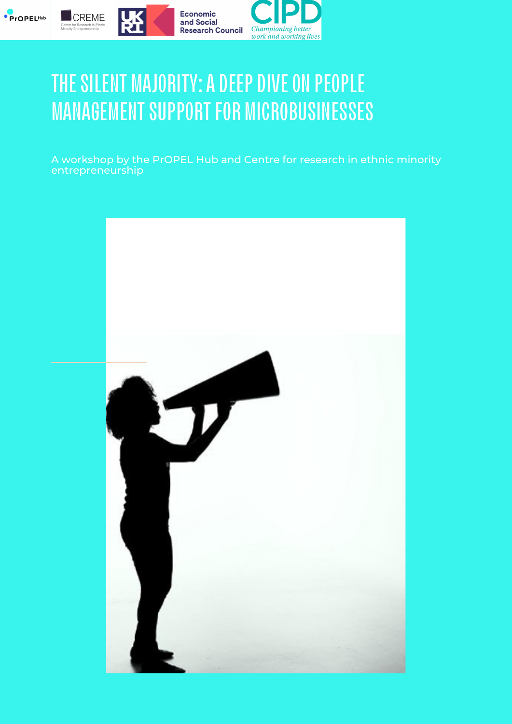





# THE SILENT MAJORITY: A DEEP DIVE ON PEOPLE **MANAGEMENT SUPPORT FOR MICROBUSINESSES**

Economic

and Social

A workshop by the PrOPEL Hub and Centre for research in ethnic minority entrepreneurship

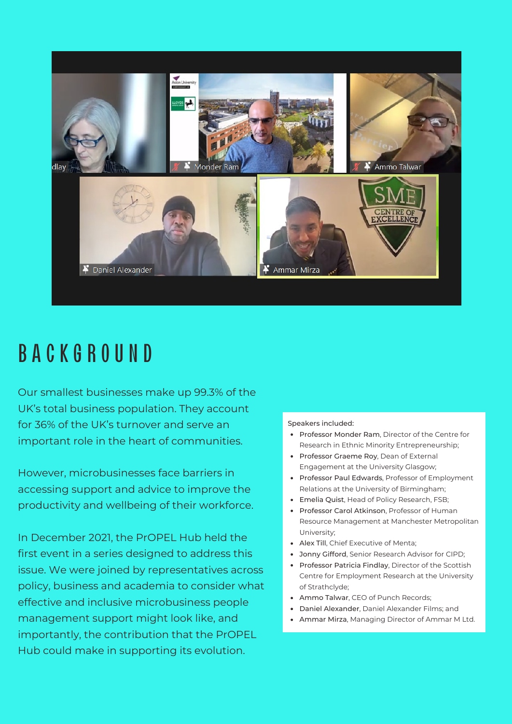

## B A C K G R O UND

Our smallest businesses make up [99.3%](https://www.fsb.org.uk/uk-small-business-statistics.html) of the UK's total business population. They account for 36% of the UK's [turnover](https://www.fsb.org.uk/uk-small-business-statistics.html) and serve an important role in the heart of communities.

However, microbusinesses face barriers in accessing support and advice to improve the productivity and wellbeing of their workforce.

In December 2021, the PrOPEL Hub held the first event in a series designed to address this issue. We were joined by representatives across policy, business and academia to consider what effective and inclusive microbusiness people management support might look like, and importantly, the contribution that the PrOPEL Hub could make in supporting its evolution.

#### Speakers included:

- Professor Monder Ram, Director of the Centre for Research in Ethnic Minority Entrepreneurship;
- Professor Graeme Roy, Dean of External Engagement at the University Glasgow;
- Professor Paul Edwards, Professor of Employment Relations at the University of Birmingham;
- Emelia Quist, Head of Policy Research, FSB;
- Professor Carol Atkinson, Professor of Human Resource Management at Manchester Metropolitan University;
- Alex Till, Chief Executive of Menta;
- Jonny Gifford, Senior Research Advisor for CIPD;
- Professor Patricia Findlay, Director of the Scottish Centre for Employment Research at the University of Strathclyde;
- Ammo Talwar, CEO of Punch Records;
- Daniel Alexander, Daniel Alexander Films; and
- Ammar Mirza, Managing Director of Ammar M Ltd.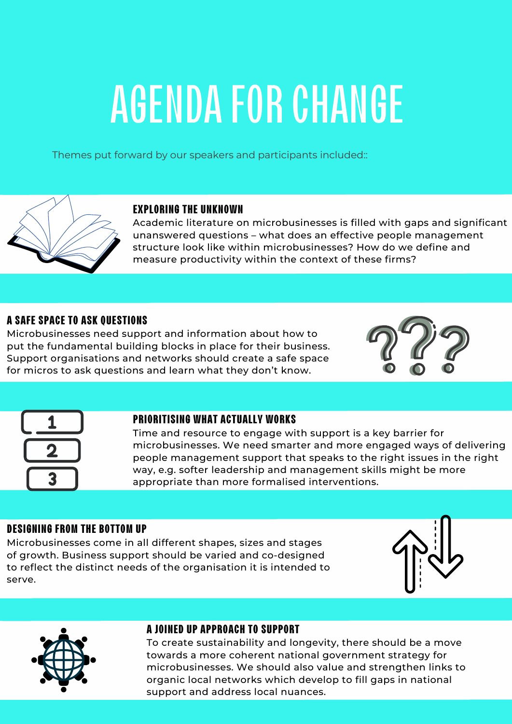# **AGENDA FOR CHANGE**

Themes put forward by our speakers and participants included::



#### **EXPLORING THE UNKNOWN**

Academic literature on microbusinesses is filled with gaps and significant unanswered questions – what does an effective people management structure look like within microbusinesses? How do we define and measure productivity within the context of these firms?

#### **A SAFE SPACE TO ASK QUESTIONS**

Microbusinesses need support and information about how to put the fundamental building blocks in place for their business. Support organisations and networks should create a safe space for micros to ask questions and learn what they don't know.





#### **PRIORITISING WHAT ACTUALLY WORKS**

Time and resource to engage with support is a key barrier for microbusinesses. We need smarter and more engaged ways of delivering people management support that speaks to the right issues in the right way, e.g. softer leadership and management skills might be more appropriate than more formalised interventions.

#### **DESIGNING FROM THE BOTTOM UP**

Microbusinesses come in all different shapes, sizes and stages of growth. Business support should be varied and co-designed to reflect the distinct needs of the organisation it is intended to serve.





#### **A JOINED UP APPROACH TO SUPPORT**

To create sustainability and longevity, there should be a move towards a more coherent national government strategy for microbusinesses. We should also value and strengthen links to organic local networks which develop to fill gaps in national support and address local nuances.